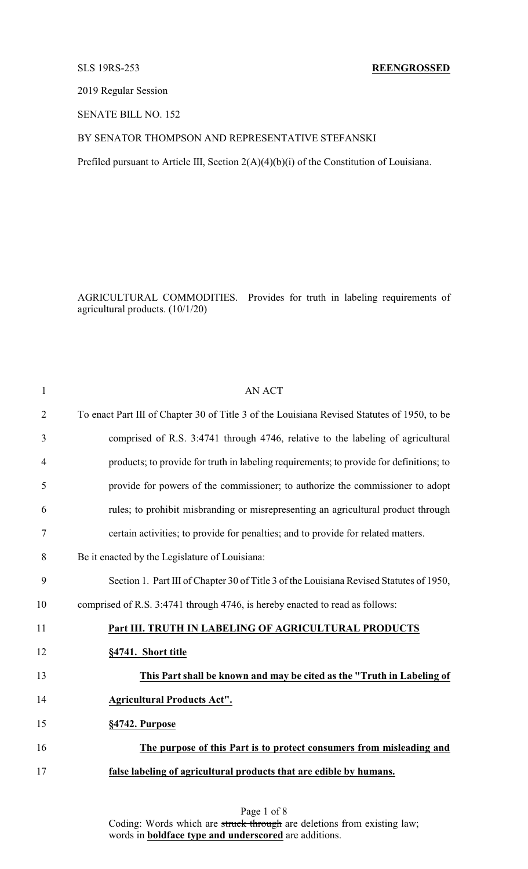# SLS 19RS-253 **REENGROSSED**

2019 Regular Session

SENATE BILL NO. 152

# BY SENATOR THOMPSON AND REPRESENTATIVE STEFANSKI

Prefiled pursuant to Article III, Section 2(A)(4)(b)(i) of the Constitution of Louisiana.

AGRICULTURAL COMMODITIES. Provides for truth in labeling requirements of agricultural products. (10/1/20)

| $\mathbf{1}$   | <b>AN ACT</b>                                                                               |
|----------------|---------------------------------------------------------------------------------------------|
| $\overline{2}$ | To enact Part III of Chapter 30 of Title 3 of the Louisiana Revised Statutes of 1950, to be |
| 3              | comprised of R.S. 3:4741 through 4746, relative to the labeling of agricultural             |
| 4              | products; to provide for truth in labeling requirements; to provide for definitions; to     |
| 5              | provide for powers of the commissioner; to authorize the commissioner to adopt              |
| 6              | rules; to prohibit misbranding or misrepresenting an agricultural product through           |
| 7              | certain activities; to provide for penalties; and to provide for related matters.           |
| 8              | Be it enacted by the Legislature of Louisiana:                                              |
| 9              | Section 1. Part III of Chapter 30 of Title 3 of the Louisiana Revised Statutes of 1950,     |
| 10             | comprised of R.S. 3:4741 through 4746, is hereby enacted to read as follows:                |
| 11             | Part III. TRUTH IN LABELING OF AGRICULTURAL PRODUCTS                                        |
| 12             | §4741. Short title                                                                          |
| 13             | This Part shall be known and may be cited as the "Truth in Labeling of                      |
| 14             | <b>Agricultural Products Act".</b>                                                          |
| 15             | §4742. Purpose                                                                              |
| 16             | The purpose of this Part is to protect consumers from misleading and                        |
| 17             | false labeling of agricultural products that are edible by humans.                          |
|                |                                                                                             |

Page 1 of 8 Coding: Words which are struck through are deletions from existing law; words in **boldface type and underscored** are additions.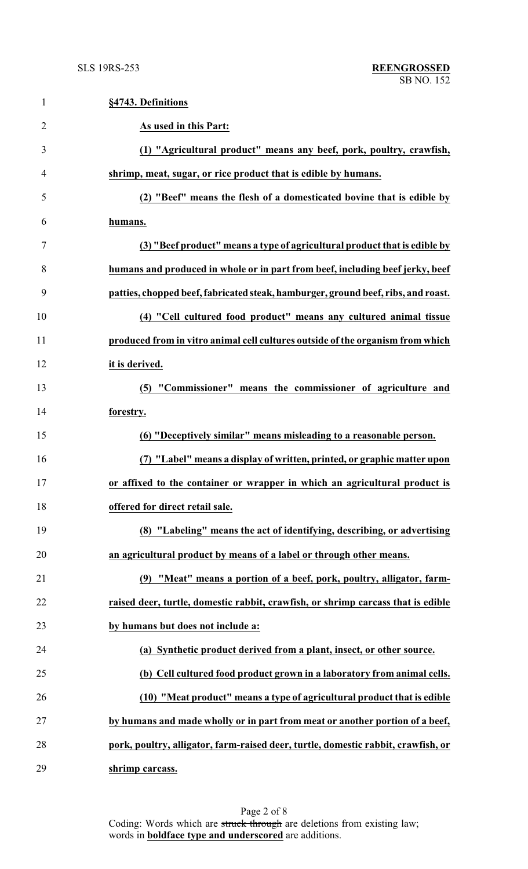| $\mathbf{1}$   | §4743. Definitions                                                                |
|----------------|-----------------------------------------------------------------------------------|
| $\overline{2}$ | As used in this Part:                                                             |
| 3              | (1) "Agricultural product" means any beef, pork, poultry, crawfish,               |
| 4              | shrimp, meat, sugar, or rice product that is edible by humans.                    |
| 5              | (2) "Beef" means the flesh of a domesticated bovine that is edible by             |
| 6              | humans.                                                                           |
| 7              | (3) "Beef product" means a type of agricultural product that is edible by         |
| 8              | humans and produced in whole or in part from beef, including beef jerky, beef     |
| 9              | patties, chopped beef, fabricated steak, hamburger, ground beef, ribs, and roast. |
| 10             | (4) "Cell cultured food product" means any cultured animal tissue                 |
| 11             | produced from in vitro animal cell cultures outside of the organism from which    |
| 12             | it is derived.                                                                    |
| 13             | (5) "Commissioner" means the commissioner of agriculture and                      |
| 14             | forestry.                                                                         |
| 15             | (6) "Deceptively similar" means misleading to a reasonable person.                |
| 16             | (7) "Label" means a display of written, printed, or graphic matter upon           |
| 17             | or affixed to the container or wrapper in which an agricultural product is        |
| 18             | offered for direct retail sale.                                                   |
| 19             | (8) "Labeling" means the act of identifying, describing, or advertising           |
| 20             | an agricultural product by means of a label or through other means.               |
| 21             | (9) "Meat" means a portion of a beef, pork, poultry, alligator, farm-             |
| 22             | raised deer, turtle, domestic rabbit, crawfish, or shrimp carcass that is edible  |
| 23             | by humans but does not include a:                                                 |
| 24             | (a) Synthetic product derived from a plant, insect, or other source.              |
| 25             | (b) Cell cultured food product grown in a laboratory from animal cells.           |
| 26             | (10) "Meat product" means a type of agricultural product that is edible           |
| 27             | by humans and made wholly or in part from meat or another portion of a beef,      |
| 28             | pork, poultry, alligator, farm-raised deer, turtle, domestic rabbit, crawfish, or |
| 29             | shrimp carcass.                                                                   |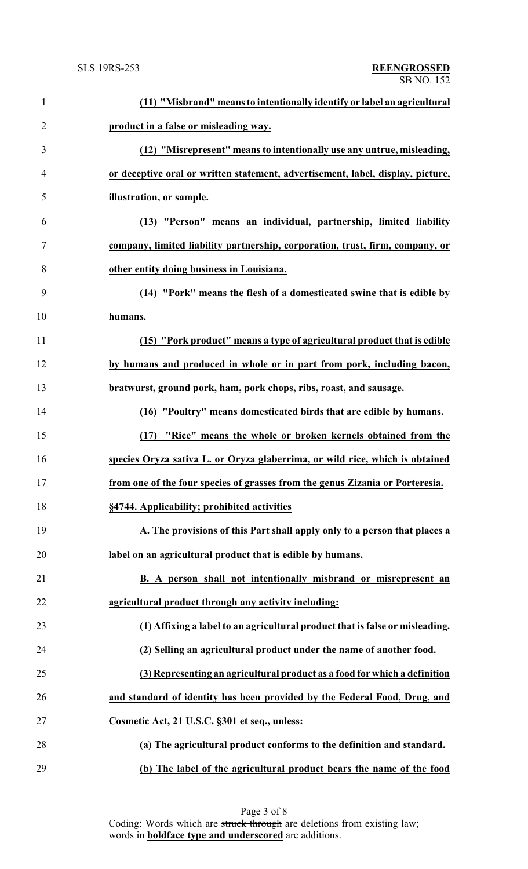| $\mathbf{1}$   | (11) "Misbrand" means to intentionally identify or label an agricultural        |
|----------------|---------------------------------------------------------------------------------|
| $\overline{2}$ | product in a false or misleading way.                                           |
| 3              | (12) "Misrepresent" means to intentionally use any untrue, misleading,          |
| 4              | or deceptive oral or written statement, advertisement, label, display, picture, |
| 5              | illustration, or sample.                                                        |
| 6              | (13) "Person" means an individual, partnership, limited liability               |
| 7              | company, limited liability partnership, corporation, trust, firm, company, or   |
| 8              | other entity doing business in Louisiana.                                       |
| 9              | (14) "Pork" means the flesh of a domesticated swine that is edible by           |
| 10             | humans.                                                                         |
| 11             | (15) "Pork product" means a type of agricultural product that is edible         |
| 12             | by humans and produced in whole or in part from pork, including bacon,          |
| 13             | bratwurst, ground pork, ham, pork chops, ribs, roast, and sausage.              |
| 14             | (16) "Poultry" means domesticated birds that are edible by humans.              |
| 15             | (17) "Rice" means the whole or broken kernels obtained from the                 |
| 16             | species Oryza sativa L. or Oryza glaberrima, or wild rice, which is obtained    |
| 17             | from one of the four species of grasses from the genus Zizania or Porteresia.   |
| 18             | §4744. Applicability; prohibited activities                                     |
| 19             | A. The provisions of this Part shall apply only to a person that places a       |
| 20             | label on an agricultural product that is edible by humans.                      |
| 21             | B. A person shall not intentionally misbrand or misrepresent an                 |
| 22             | agricultural product through any activity including:                            |
| 23             | (1) Affixing a label to an agricultural product that is false or misleading.    |
| 24             | (2) Selling an agricultural product under the name of another food.             |
| 25             | (3) Representing an agricultural product as a food for which a definition       |
| 26             | and standard of identity has been provided by the Federal Food, Drug, and       |
| 27             | Cosmetic Act, 21 U.S.C. §301 et seq., unless:                                   |
| 28             | (a) The agricultural product conforms to the definition and standard.           |
| 29             | (b) The label of the agricultural product bears the name of the food            |

Page 3 of 8 Coding: Words which are struck through are deletions from existing law; words in **boldface type and underscored** are additions.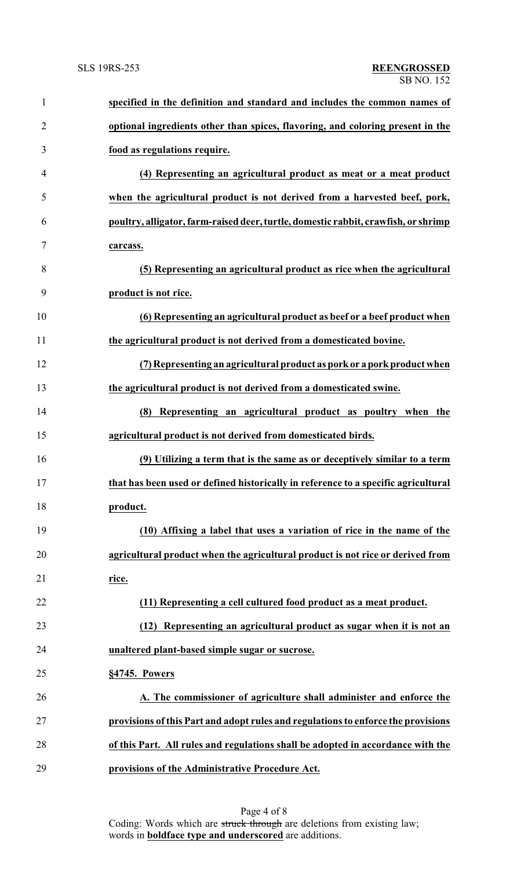| $\mathbf{1}$   | specified in the definition and standard and includes the common names of          |
|----------------|------------------------------------------------------------------------------------|
| $\overline{2}$ | optional ingredients other than spices, flavoring, and coloring present in the     |
| 3              | food as regulations require.                                                       |
| 4              | (4) Representing an agricultural product as meat or a meat product                 |
| 5              | when the agricultural product is not derived from a harvested beef, pork,          |
| 6              | poultry, alligator, farm-raised deer, turtle, domestic rabbit, crawfish, or shrimp |
| 7              | carcass.                                                                           |
| 8              | (5) Representing an agricultural product as rice when the agricultural             |
| 9              | product is not rice.                                                               |
| 10             | (6) Representing an agricultural product as beef or a beef product when            |
| 11             | the agricultural product is not derived from a domesticated bovine.                |
| 12             | (7) Representing an agricultural product as pork or a pork product when            |
| 13             | the agricultural product is not derived from a domesticated swine.                 |
| 14             | (8) Representing an agricultural product as poultry when the                       |
| 15             | agricultural product is not derived from domesticated birds.                       |
| 16             | (9) Utilizing a term that is the same as or deceptively similar to a term          |
| 17             | that has been used or defined historically in reference to a specific agricultural |
| 18             | product.                                                                           |
| 19             | (10) Affixing a label that uses a variation of rice in the name of the             |
| 20             | agricultural product when the agricultural product is not rice or derived from     |
| 21             | <u>rice.</u>                                                                       |
| 22             | (11) Representing a cell cultured food product as a meat product.                  |
| 23             | Representing an agricultural product as sugar when it is not an<br>(12)            |
| 24             | unaltered plant-based simple sugar or sucrose.                                     |
| 25             | §4745. Powers                                                                      |
| 26             | A. The commissioner of agriculture shall administer and enforce the                |
| 27             | provisions of this Part and adopt rules and regulations to enforce the provisions  |
| 28             | of this Part. All rules and regulations shall be adopted in accordance with the    |
| 29             | provisions of the Administrative Procedure Act.                                    |

Page 4 of 8 Coding: Words which are struck through are deletions from existing law; words in **boldface type and underscored** are additions.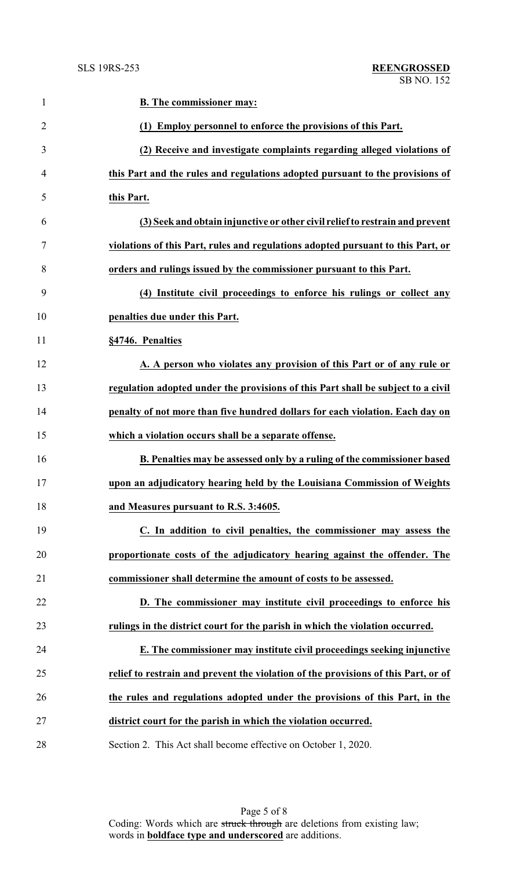| $\mathbf{1}$   | <b>B.</b> The commissioner may:                                                    |
|----------------|------------------------------------------------------------------------------------|
| $\overline{2}$ | (1) Employ personnel to enforce the provisions of this Part.                       |
| 3              | (2) Receive and investigate complaints regarding alleged violations of             |
| 4              | this Part and the rules and regulations adopted pursuant to the provisions of      |
| 5              | this Part.                                                                         |
| 6              | (3) Seek and obtain injunctive or other civil relief to restrain and prevent       |
| 7              | violations of this Part, rules and regulations adopted pursuant to this Part, or   |
| 8              | orders and rulings issued by the commissioner pursuant to this Part.               |
| 9              | (4) Institute civil proceedings to enforce his rulings or collect any              |
| 10             | penalties due under this Part.                                                     |
| 11             | §4746. Penalties                                                                   |
| 12             | A. A person who violates any provision of this Part or of any rule or              |
| 13             | regulation adopted under the provisions of this Part shall be subject to a civil   |
| 14             | penalty of not more than five hundred dollars for each violation. Each day on      |
| 15             | which a violation occurs shall be a separate offense.                              |
| 16             | B. Penalties may be assessed only by a ruling of the commissioner based            |
| 17             | upon an adjudicatory hearing held by the Louisiana Commission of Weights           |
| 18             | and Measures pursuant to R.S. 3:4605.                                              |
| 19             | C. In addition to civil penalties, the commissioner may assess the                 |
| 20             | proportionate costs of the adjudicatory hearing against the offender. The          |
| 21             | commissioner shall determine the amount of costs to be assessed.                   |
| 22             | D. The commissioner may institute civil proceedings to enforce his                 |
| 23             | rulings in the district court for the parish in which the violation occurred.      |
| 24             | E. The commissioner may institute civil proceedings seeking injunctive             |
| 25             | relief to restrain and prevent the violation of the provisions of this Part, or of |
| 26             | the rules and regulations adopted under the provisions of this Part, in the        |
| 27             | district court for the parish in which the violation occurred.                     |
| 28             | Section 2. This Act shall become effective on October 1, 2020.                     |

Page 5 of 8 Coding: Words which are struck through are deletions from existing law; words in **boldface type and underscored** are additions.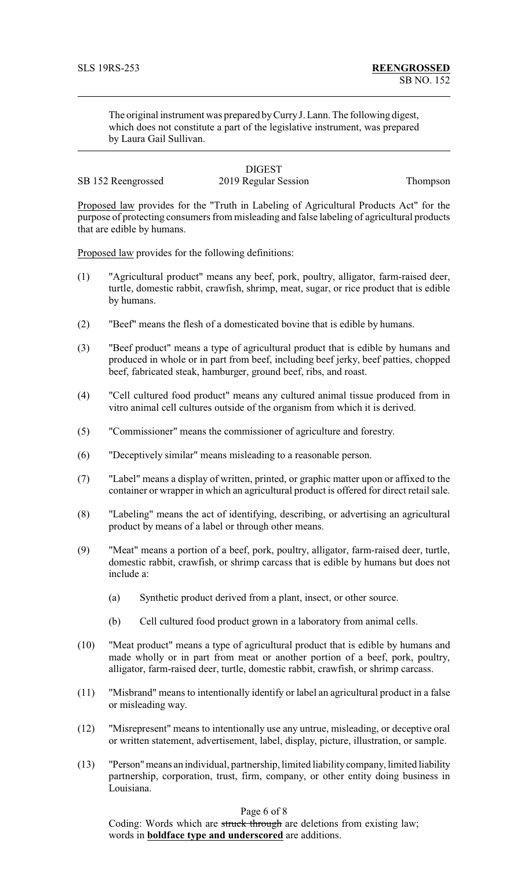The original instrument was prepared byCurryJ. Lann. The following digest, which does not constitute a part of the legislative instrument, was prepared by Laura Gail Sullivan.

# **DIGEST**

SB 152 Reengrossed 2019 Regular Session Thompson

Proposed law provides for the "Truth in Labeling of Agricultural Products Act" for the purpose of protecting consumers from misleading and false labeling of agricultural products that are edible by humans.

Proposed law provides for the following definitions:

- (1) "Agricultural product" means any beef, pork, poultry, alligator, farm-raised deer, turtle, domestic rabbit, crawfish, shrimp, meat, sugar, or rice product that is edible by humans.
- (2) "Beef" means the flesh of a domesticated bovine that is edible by humans.
- (3) "Beef product" means a type of agricultural product that is edible by humans and produced in whole or in part from beef, including beef jerky, beef patties, chopped beef, fabricated steak, hamburger, ground beef, ribs, and roast.
- (4) "Cell cultured food product" means any cultured animal tissue produced from in vitro animal cell cultures outside of the organism from which it is derived.
- (5) "Commissioner" means the commissioner of agriculture and forestry.
- (6) "Deceptively similar" means misleading to a reasonable person.
- (7) "Label" means a display of written, printed, or graphic matter upon or affixed to the container or wrapper in which an agricultural product is offered for direct retail sale.
- (8) "Labeling" means the act of identifying, describing, or advertising an agricultural product by means of a label or through other means.
- (9) "Meat" means a portion of a beef, pork, poultry, alligator, farm-raised deer, turtle, domestic rabbit, crawfish, or shrimp carcass that is edible by humans but does not include a:
	- (a) Synthetic product derived from a plant, insect, or other source.
	- (b) Cell cultured food product grown in a laboratory from animal cells.
- (10) "Meat product" means a type of agricultural product that is edible by humans and made wholly or in part from meat or another portion of a beef, pork, poultry, alligator, farm-raised deer, turtle, domestic rabbit, crawfish, or shrimp carcass.
- (11) "Misbrand" means to intentionally identify or label an agricultural product in a false or misleading way.
- (12) "Misrepresent" means to intentionally use any untrue, misleading, or deceptive oral or written statement, advertisement, label, display, picture, illustration, or sample.
- (13) "Person"means an individual, partnership, limited liabilitycompany, limited liability partnership, corporation, trust, firm, company, or other entity doing business in Louisiana.

### Page 6 of 8

Coding: Words which are struck through are deletions from existing law; words in **boldface type and underscored** are additions.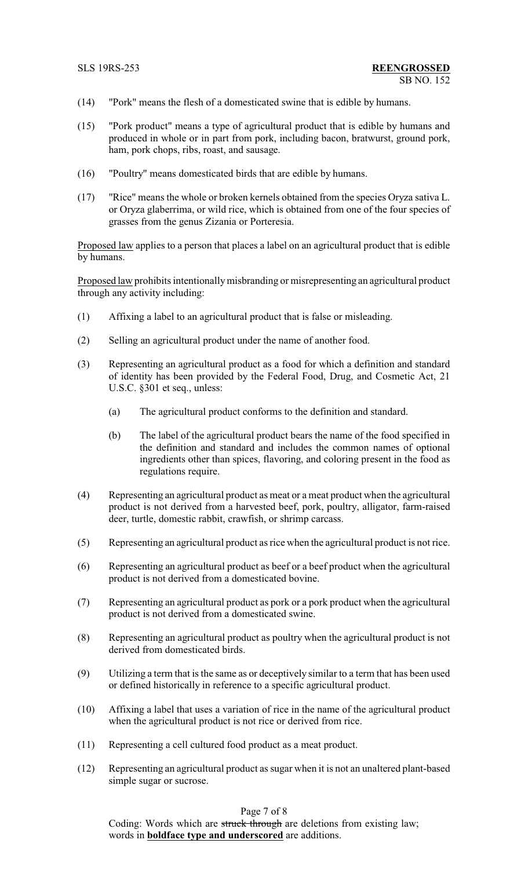- (14) "Pork" means the flesh of a domesticated swine that is edible by humans.
- (15) "Pork product" means a type of agricultural product that is edible by humans and produced in whole or in part from pork, including bacon, bratwurst, ground pork, ham, pork chops, ribs, roast, and sausage.
- (16) "Poultry" means domesticated birds that are edible by humans.
- (17) "Rice" means the whole or broken kernels obtained from the species Oryza sativa L. or Oryza glaberrima, or wild rice, which is obtained from one of the four species of grasses from the genus Zizania or Porteresia.

Proposed law applies to a person that places a label on an agricultural product that is edible by humans.

Proposed law prohibits intentionally misbranding or misrepresenting an agricultural product through any activity including:

- (1) Affixing a label to an agricultural product that is false or misleading.
- (2) Selling an agricultural product under the name of another food.
- (3) Representing an agricultural product as a food for which a definition and standard of identity has been provided by the Federal Food, Drug, and Cosmetic Act, 21 U.S.C. §301 et seq., unless:
	- (a) The agricultural product conforms to the definition and standard.
	- (b) The label of the agricultural product bears the name of the food specified in the definition and standard and includes the common names of optional ingredients other than spices, flavoring, and coloring present in the food as regulations require.
- (4) Representing an agricultural product as meat or a meat product when the agricultural product is not derived from a harvested beef, pork, poultry, alligator, farm-raised deer, turtle, domestic rabbit, crawfish, or shrimp carcass.
- (5) Representing an agricultural product as rice when the agricultural product is not rice.
- (6) Representing an agricultural product as beef or a beef product when the agricultural product is not derived from a domesticated bovine.
- (7) Representing an agricultural product as pork or a pork product when the agricultural product is not derived from a domesticated swine.
- (8) Representing an agricultural product as poultry when the agricultural product is not derived from domesticated birds.
- (9) Utilizing a term that is the same as or deceptively similar to a term that has been used or defined historically in reference to a specific agricultural product.
- (10) Affixing a label that uses a variation of rice in the name of the agricultural product when the agricultural product is not rice or derived from rice.
- (11) Representing a cell cultured food product as a meat product.
- (12) Representing an agricultural product as sugar when it is not an unaltered plant-based simple sugar or sucrose.

Page 7 of 8

Coding: Words which are struck through are deletions from existing law; words in **boldface type and underscored** are additions.